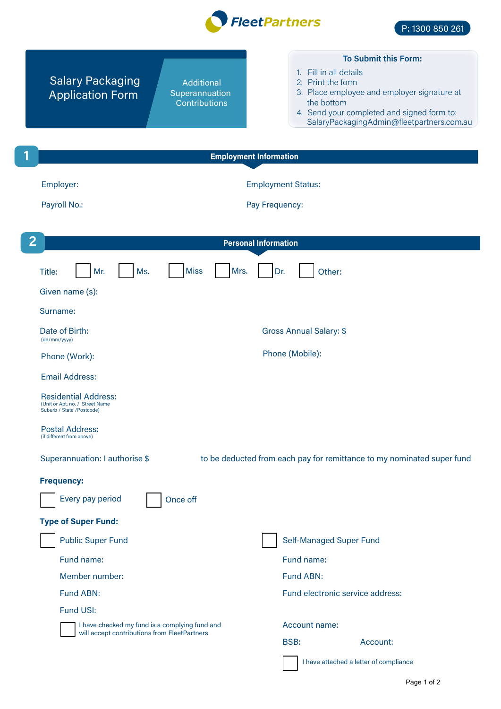

| <b>Salary Packaging</b><br>Additional<br>Superannuation<br><b>Application Form</b><br>Contributions | <b>To Submit this Form:</b><br>1. Fill in all details<br>2. Print the form<br>3. Place employee and employer signature at<br>the bottom<br>4. Send your completed and signed form to:<br>SalaryPackagingAdmin@fleetpartners.com.au |
|-----------------------------------------------------------------------------------------------------|------------------------------------------------------------------------------------------------------------------------------------------------------------------------------------------------------------------------------------|
| 1<br><b>Employment Information</b>                                                                  |                                                                                                                                                                                                                                    |
| Employer:<br>Payroll No.:                                                                           | <b>Employment Status:</b><br>Pay Frequency:                                                                                                                                                                                        |
| $\overline{2}$<br><b>Personal Information</b>                                                       |                                                                                                                                                                                                                                    |
| <b>Miss</b><br>Mrs.<br>Mr.<br>Ms.<br>Title:<br>Given name (s):<br>Surname:                          | Other:<br>Dr.                                                                                                                                                                                                                      |
| Date of Birth:                                                                                      | <b>Gross Annual Salary: \$</b>                                                                                                                                                                                                     |
| (dd/mm/yyyy)<br>Phone (Work):                                                                       | Phone (Mobile):                                                                                                                                                                                                                    |
| <b>Email Address:</b>                                                                               |                                                                                                                                                                                                                                    |
| <b>Residential Address:</b><br>(Unit or Apt. no, / Street Name<br>Suburb / State /Postcode)         |                                                                                                                                                                                                                                    |
| <b>Postal Address:</b><br>(if different from above)                                                 |                                                                                                                                                                                                                                    |
| Superannuation: I authorise \$                                                                      | to be deducted from each pay for remittance to my nominated super fund                                                                                                                                                             |
| <b>Frequency:</b>                                                                                   |                                                                                                                                                                                                                                    |
| Every pay period<br>Once off                                                                        |                                                                                                                                                                                                                                    |
| <b>Type of Super Fund:</b>                                                                          |                                                                                                                                                                                                                                    |
| <b>Public Super Fund</b>                                                                            | <b>Self-Managed Super Fund</b>                                                                                                                                                                                                     |
| Fund name:                                                                                          | Fund name:                                                                                                                                                                                                                         |
| Member number:                                                                                      | Fund ABN:                                                                                                                                                                                                                          |
| Fund ABN:                                                                                           | Fund electronic service address:                                                                                                                                                                                                   |
| <b>Fund USI:</b>                                                                                    |                                                                                                                                                                                                                                    |
| I have checked my fund is a complying fund and<br>will accept contributions from FleetPartners      | Account name:                                                                                                                                                                                                                      |
|                                                                                                     | <b>BSB:</b><br>Account:                                                                                                                                                                                                            |
|                                                                                                     | I have attached a letter of compliance                                                                                                                                                                                             |